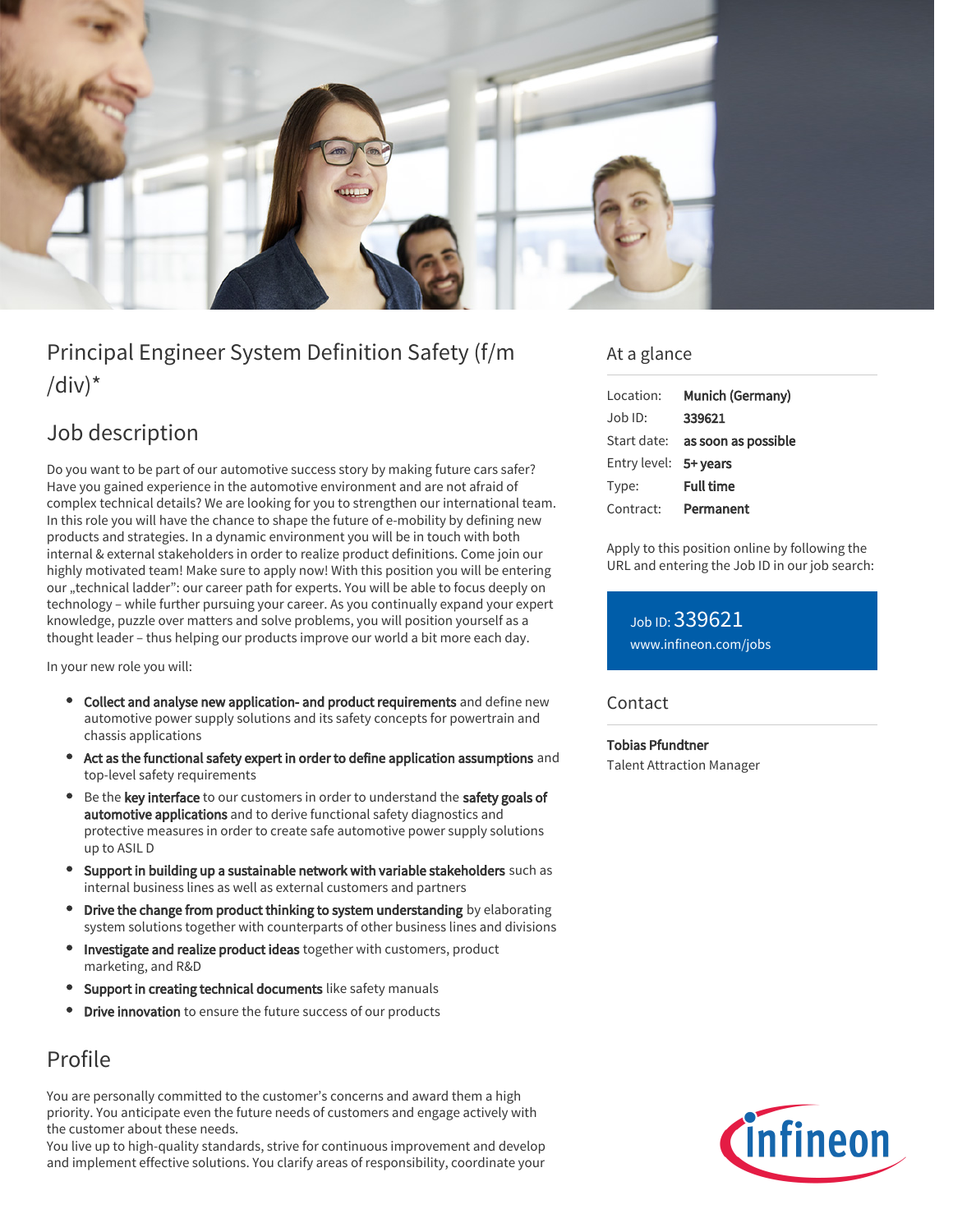

# Principal Engineer System Definition Safety (f/m  $\frac{1}{d}$

# Job description

Do you want to be part of our automotive success story by making future cars safer? Have you gained experience in the automotive environment and are not afraid of complex technical details? We are looking for you to strengthen our international team. In this role you will have the chance to shape the future of e-mobility by defining new products and strategies. In a dynamic environment you will be in touch with both internal & external stakeholders in order to realize product definitions. Come join our highly motivated team! Make sure to apply now! With this position you will be entering our "technical ladder": our career path for experts. You will be able to focus deeply on technology – while further pursuing your career. As you continually expand your expert knowledge, puzzle over matters and solve problems, you will position yourself as a thought leader – thus helping our products improve our world a bit more each day.

In your new role you will:

- Collect and analyse new application- and product requirements and define new automotive power supply solutions and its safety concepts for powertrain and chassis applications
- Act as the functional safety expert in order to define application assumptions and top-level safety requirements
- Be the key interface to our customers in order to understand the safety goals of automotive applications and to derive functional safety diagnostics and protective measures in order to create safe automotive power supply solutions up to ASIL D
- Support in building up a sustainable network with variable stakeholders such as  $\bullet$ internal business lines as well as external customers and partners
- Drive the change from product thinking to system understanding by elaborating system solutions together with counterparts of other business lines and divisions
- Investigate and realize product ideas together with customers, product marketing, and R&D
- Support in creating technical documents like safety manuals
- Drive innovation to ensure the future success of our products

# Profile

You are personally committed to the customer's concerns and award them a high priority. You anticipate even the future needs of customers and engage actively with the customer about these needs.

You live up to high-quality standards, strive for continuous improvement and develop and implement effective solutions. You clarify areas of responsibility, coordinate your

### At a glance

| Location:             | Munich (Germany)                       |
|-----------------------|----------------------------------------|
| $Job$ ID:             | 339621                                 |
|                       | Start date: <b>as soon as possible</b> |
| Entry level: 5+ years |                                        |
| Type:                 | <b>Full time</b>                       |
| Contract:             | Permanent                              |

Apply to this position online by following the URL and entering the Job ID in our job search:

Job ID: 339621 [www.infineon.com/jobs](https://www.infineon.com/jobs)

### **Contact**

Tobias Pfundtner Talent Attraction Manager